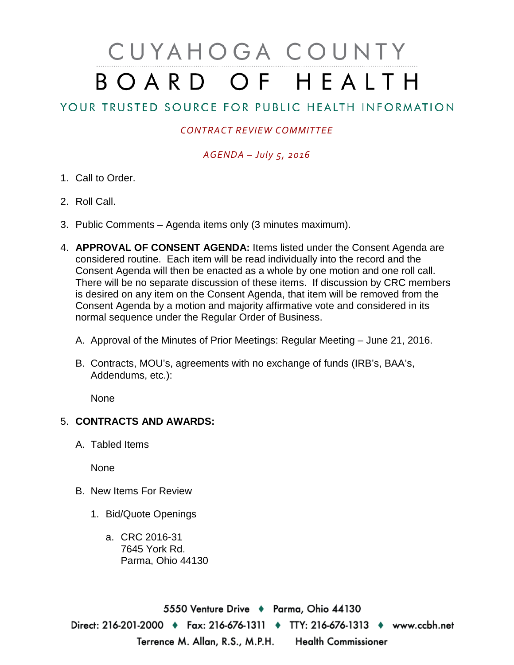# CUYAHOGA COUNTY BOARD OF HEALTH

## YOUR TRUSTED SOURCE FOR PUBLIC HEALTH INFORMATION

#### *CONTRACT REVIEW COMMITTEE*

### *AGENDA – July 5, 2016*

- 1. Call to Order.
- 2. Roll Call.
- 3. Public Comments Agenda items only (3 minutes maximum).
- 4. **APPROVAL OF CONSENT AGENDA:** Items listed under the Consent Agenda are considered routine. Each item will be read individually into the record and the Consent Agenda will then be enacted as a whole by one motion and one roll call. There will be no separate discussion of these items. If discussion by CRC members is desired on any item on the Consent Agenda, that item will be removed from the Consent Agenda by a motion and majority affirmative vote and considered in its normal sequence under the Regular Order of Business.
	- A. Approval of the Minutes of Prior Meetings: Regular Meeting June 21, 2016.
	- B. Contracts, MOU's, agreements with no exchange of funds (IRB's, BAA's, Addendums, etc.):

None

#### 5. **CONTRACTS AND AWARDS:**

A. Tabled Items

None

- B. New Items For Review
	- 1. Bid/Quote Openings
		- a. CRC 2016-31 7645 York Rd. Parma, Ohio 44130

5550 Venture Drive + Parma, Ohio 44130 Direct: 216-201-2000 ♦ Fax: 216-676-1311 ♦ TTY: 216-676-1313 ♦ www.ccbh.net Terrence M. Allan, R.S., M.P.H. Health Commissioner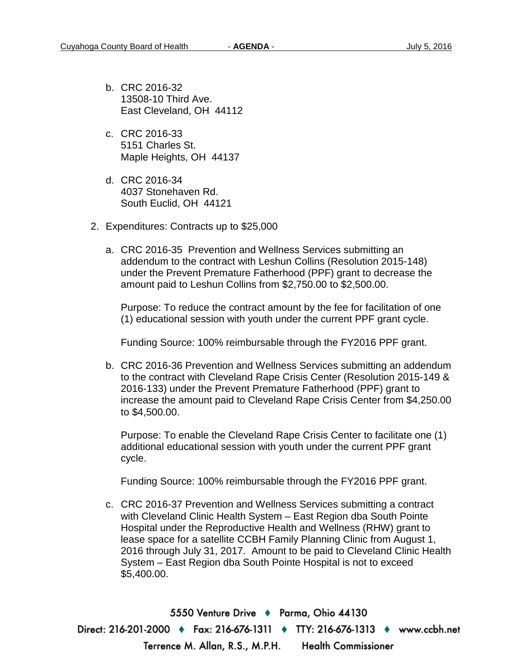- b. CRC 2016-32 13508-10 Third Ave. East Cleveland, OH 44112
- c. CRC 2016-33 5151 Charles St. Maple Heights, OH 44137
- d. CRC 2016-34 4037 Stonehaven Rd. South Euclid, OH 44121
- 2. Expenditures: Contracts up to \$25,000
	- a. CRC 2016-35 Prevention and Wellness Services submitting an addendum to the contract with Leshun Collins (Resolution 2015-148) under the Prevent Premature Fatherhood (PPF) grant to decrease the amount paid to Leshun Collins from \$2,750.00 to \$2,500.00.

Purpose: To reduce the contract amount by the fee for facilitation of one (1) educational session with youth under the current PPF grant cycle.

Funding Source: 100% reimbursable through the FY2016 PPF grant.

b. CRC 2016-36 Prevention and Wellness Services submitting an addendum to the contract with Cleveland Rape Crisis Center (Resolution 2015-149 & 2016-133) under the Prevent Premature Fatherhood (PPF) grant to increase the amount paid to Cleveland Rape Crisis Center from \$4,250.00 to \$4,500.00.

Purpose: To enable the Cleveland Rape Crisis Center to facilitate one (1) additional educational session with youth under the current PPF grant cycle.

Funding Source: 100% reimbursable through the FY2016 PPF grant.

c. CRC 2016-37 Prevention and Wellness Services submitting a contract with Cleveland Clinic Health System – East Region dba South Pointe Hospital under the Reproductive Health and Wellness (RHW) grant to lease space for a satellite CCBH Family Planning Clinic from August 1, 2016 through July 31, 2017. Amount to be paid to Cleveland Clinic Health System – East Region dba South Pointe Hospital is not to exceed \$5,400.00.

5550 Venture Drive + Parma, Ohio 44130 Direct: 216-201-2000 ♦ Fax: 216-676-1311 ♦ TTY: 216-676-1313 ♦ www.ccbh.net Terrence M. Allan, R.S., M.P.H. Health Commissioner